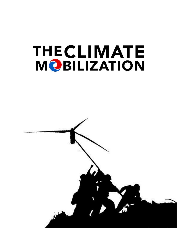# THE CLIMATE<br>MOBILIZATION

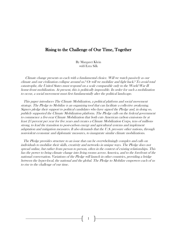# Rising to the Challenge of Our Time, Together

By Margaret Klein with Ezra Silk

 Climate change presents us each with a fundamental choice. Will we watch passively as our climate and our civilization collapse around us? Or will we mobilize and fight back? To avoid total catastrophe, the United States must respond on a scale comparable only to the World War II home-front mobilization. At present, this is politically impossible. In order for such a mobilization to occur, a social movement must first fundamentally alter the political landscape.

 This paper introduces The Climate Mobilization, a political platform and social movement strategy. The Pledge to Mobilize is an organizing tool that can facilitate a collective awakening. Signers pledge their support to political candidates who have signed the Pledge and, in doing so, publicly supported the Climate Mobilization platform. The Pledge calls on the federal government to commence a five-year Climate Mobilization that both cuts American carbon emissions by at least 25 percent per year for five years and creates <sup>a</sup> Climate Mobilization Corps, tens of millions strong, to lead the transition to post-carbon energy and agricultural systems and implement adaptation and mitigation measures. It also demands that the U.S. pressure other nations, through nonviolent economic and diplomatic measures, to inaugurate similar climate mobilizations.

 The Pledge provides structure to an issue that can be overwhelmingly complex and calls on individuals to mobilize their skills, creativity and networks in unique ways. The Pledge does not spread online, but rather from person to person, often in the context of existing relationships. This has the power to bring climate change into living rooms across America, and to the forefront of the national conversation. Variations of the Pledge will launch in other countries, providing a bridge between the hyper-local, the national and the global. The Pledge to Mobilize empowers each of us to rise to the challenge of our time.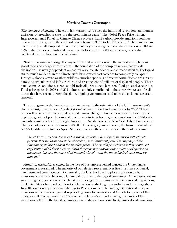#### Marching Towards Catastrophe

The climate is changing. The earth has warmed  $1.5\textdegree F$  since the industrial revolution, and human emissions of greenhouse gases are the predominant cause. <sup>1</sup> The Nobel Peace Prize-winning Intergovernmental Panel on Climate Change projects that if carbon dioxide emissions continue their unrestricted growth, the earth will warm between  $3.6^{\circ}$ F to  $10.8^{\circ}$ F by  $2100^{\circ}$ . These may seem like relatively small temperature increases, but they are enough to cause the extinction of 18% to 37% of the species on Earth and to end the Holocene, the 12,000-year geological era that facilitated the development of civilization.<sup>3</sup>

Business as usual is ending. It's easy to think that we exist outside the natural world, but our global food and energy infrastructure — the foundation of the complex system that we call civilization — is utterly dependent on natural resource abundance and climatic stability. Ecological strains much milder than the climate crisis have caused past societies to completely collapse.<sup>4</sup> Droughts, floods, severe weather, wildfires, invasive species, and vector-borne disease are already damaging agriculture and infrastructure, and creating tens of millions of displaced people.<sup>5</sup> These harsh climatic conditions, as well as a historic oil price shock, have sent food prices skyrocketing.<sup>67</sup> Food price spikes in 2008 and 2011 almost certainly contributed to the successive waves of civil unrest that have recently swept the globe, toppling governments and unleashing violent sectarian tensions.<sup>8</sup>

 The arrangements that we rely on are unraveling. In the estimation of the U.K. government's chief scientist, humans face a "perfect storm" of energy, food and water crises by 2030. These crises will be severely exacerbated by rapid climate change. This gathering storm, driven by the explosive growth of populations and economic activity, is homing in on our shoreline. California languishes amidst a historic drought. Superstorm Sandy floods the New York City subway system. The price of gasoline hovers around \$3.50. Climatologist James Hansen, the former head of the NASA Goddard Institute for Space Studies, describes the climate crisis in the starkest terms:

Planet Earth, creation, the world in which civilization developed, the world with climate patterns that we know and stable shorelines, is in imminent peril. The urgency of the situation crystallized only in the past few years…The startling conclusion is that continued exploitation of all fossil fuels on Earth threatens not only the other millions of species on the planet, but also the survival of humanity itself — and the timetable is shorter than we thought.<sup>10</sup>

 American leadership is failing. In the face of this unprecedented danger, the United States government is paralyzed. The majority of our elected representatives live in a trance of denial, narcissism and complacency. Domestically, the U.S. has failed to place a price on carbon emissions or even end billion-dollar annual subsidies to the big oil companies. As taxpayers, we are subsidizing the destruction of the climate that biologically sustains us. In international negotiations, the United States has modeled how to delay action by shirking responsibility and blaming others. In 2001, our country abandoned the Kyoto Protocol — the only binding international treaty on emissions reductions ever passed — providing cover for Australia and Canada to opt out of the treaty, as well. Today, more than 25 years after Hansen's groundbreaking discussion of the greenhouse effect in the Senate chambers, no binding international treaty limits global emissions. <sup>11</sup>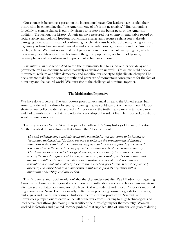Our country is becoming a pariah on the international stage. Our leaders have justified their obstruction by contending that "the American way of life is not negotiable."<sup>12</sup> But responding forcefully to climate change is our only chance to preserve the best aspects of the American tradition. Throughout our history, Americans have treasured our country's remarkable record of social stability and political freedom. But climate change and resource exhaustion is already damaging those ideals. Instead of confronting the climate crisis head-on, the state, facing a crisis of legitimacy, is launching unconstitutional assaults on whistleblowers, journalists and the American public, at large. We must realize that the logical endpoint of our current energy regime, which increasingly benefits only a small fraction of the global population, is a future of tyranny, catastrophic social breakdown and unprecedented human suffering.

The future is in our hands. And so the fate of humanity falls to us. As our leaders delay and prevaricate, will we continue to watch passively as civilization unravels? Or will we build a social movement, reclaim our fallen democracy and mobilize our society to fight climate change? The decisions we make in the coming months and years are of momentous consequence for the fate of humanity and the natural world. We must rise to the challenge of our time, together.

#### The Mobilization Imperative

We have done it before. The Axis powers posed an existential threat to the United States, but Americans denied this threat for years, imagining that we could stay out of the war. Pearl Harbor shattered our collective denial, and woke America up to the truth that we were in terrible danger and had to mobilize immediately. Under the leadership of President Franklin Roosevelt, we did so — with stunning success.

 Twelve years after World War II, as part of an official US Army history of the war, Elberton Smith described the mobilization that allowed the Allies to prevail:

The task of harnessing a nation's economic potential for war has come to be known as "economic mobilization." Its basic purpose is to insure the procurement of finished munitions — the sum total of equipment, supplies, and services required by the armed forces — while at the same time supplying the essential needs of the civilian economy. The demands of modern technological warfare, when suddenly thrust upon a nation lacking the specific equipment for war, are so novel, so complex, and of such magnitude that their fulfillment requires a nationwide industrial and social revolution. Such a revolution does not automatically "occur" when a nation goes to war. It must be planned, directed, and carried out in a manner which will accomplish its objectives with a minimum of hardship and dislocation. 13

 This "industrial and social revolution" that the U.S. underwent after Pearl Harbor was staggering. Conservative business titans joined in common cause with labor leaders and liberal bureaucrats after ten years of bitter acrimony over the New Deal — to redirect and refocus America's industrial might against the Nazis. Factories rapidly shifted from producing consumer goods to producing tanks, guns and planes, shattering all historical records for war production. Scientists and universities pumped out research on behalf of the war effort — leading to huge technological and intellectual breakthroughs. Young men sacrificed their lives fighting for their country. Women worked in factories and planted "victory gardens" that supplied 40% of America's vegetables during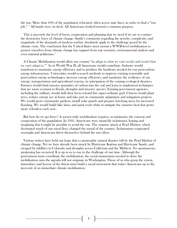the war. More than 10% of the population relocated, often across state lines, in order to find a "war job." <sup>14</sup> All hands were on deck. All Americans worked toward a common purpose.

 This is precisely the level of focus, cooperation and planning that we need if we are to counter the destructive force of climate change. Smith's comments regarding the novelty, complexity, and magnitude of the demands of modern warfare absolutely apply to the challenge posed by the climate crisis. The conclusion that the United States must mount a WWII-level mobilization to protect ourselves from climate change has support from top scientists, environmental analysts and even national politicians.<sup>15</sup>

 A Climate Mobilization would allow our country "to adapt to what we can't avoid, and avoid what we can't adapt to."<sup>16</sup> As in World War II, all Americans would contribute. Industry would transform to maximize energy efficiency and to produce the hardware needed for our post-carbon energy infrastructure. Universities would research methods to improve existing renewable and post-carbon energy technologies, increase energy efficiency, and maximize the resilience of our energy, transportation and agricultural systems, in anticipation of the coming ecological disasters. Farmers would bind massive quantities of carbon into the soil and learn to implement techniques that are more resistant to floods, droughts and invasive species. Existing government agencies, including the military, would shift their focus toward this super-ordinate goal. Citizens would plant trees, reduce energy use at home and take part in community adaptation and mitigation projects. We would grow community gardens, install solar panels and prepare low-lying areas for increased flooding. We would build bike lanes and paint roofs white to mitigate the summer heat that grows more relentless each year.

 But how do we get there? A society-wide mobilization requires, at minimum, the consent and cooperation of the population. In 1941, Americans were staunchly isolationist, hoping and imagining that it might be possible to avoid the war. The surprise attack at Pearl Harbor, which decimated much of our naval fleet, changed the mood of the country. Isolationism evaporated overnight and Americans threw themselves behind the war effort.

 Various writers have held out hope that a catastrophic natural disaster will be the Pearl Harbor of climate change. Yet we have already been struck by Hurricane Katrina and Hurricane Sandy, and ravaged by wildfires in Colorado and droughts across California and the Midwest. No spontaneous awakening has occurred. It is up to us to rise to the challenge of our time. Although the government must coordinate the mobilization, the social momentum needed to drive the mobilization onto the agenda will not originate in Washington. Those of us who grasp the extent, immediacy and horror of the threat must build a social movement that wakes Americans up to the necessity of an immediate climate mobilization.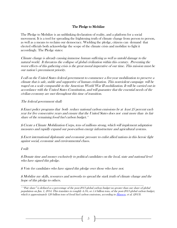# The Pledge to Mobilize

The Pledge to Mobilize is an unblinking declaration of reality, and a platform for a social movement. It is a tool for spreading the frightening truth of climate change from person to person, as well as a means to reclaim our democracy. Wielding the pledge, citizens can demand that elected officials both acknowledge the scope of the climate crisis and mobilize to fight it accordingly. The Pledge states:

Climate change is already causing immense human suffering as well as untold damage to the natural world. It threatens the collapse of global civilization within this century. Preventing the worst effects of this gathering crisis is the great moral imperative of our time. This mission must be our nation's preeminent priority.

I call on the United States federal government to commence a five-year mobilization to preserve a climate that is safe, stable and supportive of human civilization. This nonviolent campaign will be waged on a scale comparable to the American World War II mobilization. It will be carried out in accordance with the United States Constitution, and will guarantee that the essential needs of the civilian economy are met throughout this time of transition.

The federal government shall:

§ Enact policy programs that both reduce national carbon emissions by at least 25 percent each year for five consecutive years and ensure that the United States does not emit more than its fair share of the remaining fossil fuel carbon budget.\*

§ Create a Climate Mobilization Corps, tens of millions strong, which will implement adaptation measures and rapidly expand our post-carbon energy infrastructure and agricultural systems.

§ Exert international diplomatic and economic pressure to enlist allied nations in this heroic fight against social, economic and environmental chaos.

I will:

§ Donate time and money exclusively to political candidates on the local, state and national level who have signed this pledge.

§ Vote for candidates who have signed this pledge over those who have not.

§ Mobilize my skills, resources and networks to spread the stark truth of climate change and the hope of this pledge to others.

\_\_\_\_\_\_\_\_\_\_\_\_\_\_\_\_\_\_\_\_\_\_\_\_\_\_\_\_\_\_\_\_\_\_\_\_\_\_\_\_\_\_\_\_\_\_\_\_\_\_\_\_\_\_\_\_\_\_\_\_\_\_\_\_\_\_\_\_\_\_\_

\* "Fair share" is defined as a percentage of the post-2013 global carbon budget no greater than our share of global population on Jan. 1, 2014. This translates to roughly 4.5%, or 5.4 billion tons, of the post-2013 global carbon budget, which is approximately 120 billion tons of fossil fuel carbon emissions, according t[o Hansen,](http://www.plosone.org/article/info%3Adoi%2F10.1371%2Fjournal.pone.0081648) et al. (2013).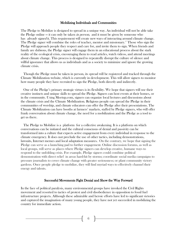#### Mobilizing Individuals and Communities

The Pledge to Mobilize is designed to spread in a unique way. An individual will not be able take the Pledge online  $-$  it can only be taken *in person*, and it must be given by someone who has *already signed* it. This requirement will create new ways of interacting around climate change. The Pledge signer will combine the roles of teacher, mentor and missionary.<sup>17</sup> Those who sign the Pledge will approach people they respect and care for, and invite them to sign. When friends and family are dubious, the Pledge signer will engage them in an educational process about the stark reality of the ecological crisis, encouraging them to read articles, watch videos, and attend meetings about climate change. This process is designed to repeatedly disrupt the culture of silence and willful ignorance that allows us as individuals and as a society to minimize and ignore the growing climate crisis.

 Though the Pledge must be taken in person, its spread will be registered and tracked through the Climate Mobilization website, which is currently in development. This will allow signers to monitor how many people they have recruited to sign the Pledge, both directly and indirectly.

 One of the Pledge's primary strategic virtues is its flexibility. We hope that signers will use their creative instincts and unique skills to spread the Pledge. Signers can host events at their homes, or in the community. Using Meetup.com, signers can organize local lectures and discussions about the climate crisis and the Climate Mobilization. Religious people can spread the Pledge in their communities of worship, and climate educators can offer the Pledge after their presentations. The Climate Mobilization can have booths at farmers' markets, staffed by Pledge signers, who will offer frank conversation about climate change, the need for a mobilization and the Pledge as a tool to get us there.

 The Pledge to Mobilize is a platform for a collective awakening. It is a platform on which conversations can be initiated and the cultural consensus of denial and passivity can be transformed into a culture that expects active engagement from every individual in response to the climate emergency. It does not preclude the use of other tactics, including demonstrations, lawsuits, Internet memes and local adaptation measures. On the contrary, we hope that signing the Pledge can serve as a launching pad to further engagement. Online discussion forums, as well as local groups, will serve as places where Pledge signers can develop creative, humane ways to respond to the unfolding crisis. For example, Pledge signers could combine political demonstration with direct relief in areas hard-hit by storms; coordinate social media campaigns to pressure journalists to cover climate change with greater seriousness; or plant community victory gardens. Once people pledge to mobilize, they will find myriad ways to effectively channel their energy and talents.

#### Successful Movements Fight Denial and Show the Way Forward

In the face of political paralysis, many environmental groups have invoked the Civil Rights movement and resorted to tactics of protest and civil disobedience in opposition to fossil fuel infrastructure projects. Although these admirable and heroic efforts have led to significant victories and captured the imagination of many young people, they have not yet succeeded in mobilizing the country for immediate action.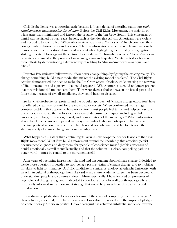Civil disobedience was a powerful tactic because it fought denial of a terrible status quo *while* simultaneously demonstrating the solution. Before the Civil Rights Movement, the majority of white Americans minimized and ignored the brutality of the Jim Crow South. This consensus of denial was facilitated through racist beliefs, such as the idea that African-Americans were violent and needed to be controlled. When African Americans sat at "whites only" lunch counters, they courageously withstood slurs and violence. These confrontations, which were televised nationally, demonstrated the protestors' dignity and restraint while highlighting the brutality of segregation, striking repeated blows against the culture of racist denial.<sup>18</sup> Through these acts, African-American protesters also initiated the process of racial integration and equality. White protestors bolstered these efforts by demonstrating a different way of relating to African-Americans — as equals and allies.<sup>19</sup>

 Inventor Buckminster Fuller wrote, "You never change things by fighting the existing reality. To change something, build a new model that makes the existing model obsolete." The Civil Rights activists demonstrated the need to make the Jim Crow system obsolete, while enacting the new way of life — integration and equality — that could replace it. White Americans could no longer pretend that race relations did not concern them. They were given a choice between the brutal past and a future that, because of civil disobedience, they could begin to visualize.

 So far, civil disobedience, protests and the popular approach of "climate change education" have not offered a clear way forward for the individual or society. When confronted with a huge, complex problem that appears to have no solution, most people feel terror and helplessness, and unconsciously insulate themselves with a variety of defensive techniques, including willful ignorance, numbing, repression, denial, and demonization of the messenger.<sup>20</sup> When information about the climate crisis is not paired with ways that individuals can participate in heroic *and* effective political action, many of us feel helpless and overwhelmed, and fail to integrate the startling reality of climate change into our everyday lives.

What happens if — rather than continuing its *tactics* — we adopt the deeper lessons of the Civil Rights movement? What if we build a movement around the knowledge that atrocities persist because people ignore and deny them; that people of conscience must fight this consensus of denial emotionally as well as intellectually; and that the solution — a clear, compelling path to a better world — must be central to the movement itself?

 After years of becoming increasingly alarmed and despondent about climate change, I decided to tackle those questions. I decided to stop being a passive victim of climate change, and to mobilize my skills to fight for humanity. A Ph.D. candidate in clinical psychology at Adelphi University, with an A.B. in cultural anthropology from Harvard — my entire academic career has been devoted to understanding people and cultures in depth. More specifically, I have focused on processes of psychological change and growth. I decided to develop a psychologically, anthropologically and historically informed social movement strategy that would help us achieve this badly needed mobilization.

 I was drawn to pledge-based strategies because of the colossal complexity of climate change. A clear solution, it seemed, must be written down. I was also impressed with the impact of pledges on contemporary American politics. Grover Norquist has achieved substantial influence over the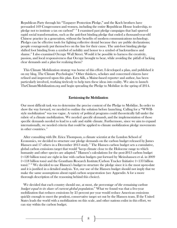Republican Party through his "Taxpayer Protection Pledge," and the Koch brothers have persuaded 169 Congressmen and women, including the entire Republican House leadership, to pledge not to institute a tax on carbon!<sup>21-22</sup> I examined past pledge campaigns that had spurred rapid social transformation, such as the anti-foot binding pledge that ended a thousand-year-old Chinese practice in a generation, without the benefits of modern communications technology. Pledges can be effective tools for fighting collective denial because they are public declarations; people courageously put themselves on the line for their cause. The anti-foot binding pledge shifted foot binding from a symbol of nobility and honor to a symbol of backwardness and shame.<sup>23</sup> I also examined Occupy Wall Street. Would it be possible to harness the creativity, passion, and local responsiveness that Occupy brought to bear, while avoiding the pitfall of lacking clear demands and a plan for realizing them?

 This Climate Mobilization strategy was borne of this effort. I developed a plan, and published it on my blog, The Climate Psychologist.<sup>24</sup> Other thinkers, scholars and concerned citizens have refined and improved upon this plan. Ezra Silk, a Maine-based reporter and author, has been particularly involved, working tirelessly to help turn these ideas into reality. We aim to launch TheClimateMobilization.org and begin spreading the Pledge to Mobilize in the spring of 2014.

#### Envisioning the Mobilization

Our most difficult task was to determine the precise content of the Pledge to Mobilize. In order to show the way forward, we needed to outline the solution before launching. Calling for a "WWIIstyle mobilization" was too vague. A variety of political programs could theoretically fall under the rubric of a climate mobilization. We needed *specific demands*, and the implementation of those specific demands needed to lead to a safe and stable climate. Furthermore, since we aim to expand internationally, we needed criteria that could be applied to climate mobilization pledge movements in other countries.<sup>25</sup>

 After consulting with Dr. Erica Thompson, a climate scientist at the London School of Economics, we decided to structure our pledge demands on the carbon budget released by James Hansen and 17 others in a December 2013 study.<sup>26</sup> The Hansen carbon budget sets a cumulative, global carbon emissions target that would "keep climate close to the Holocene range to which humanity and other species are adapted." Hansen's calculations for the post-2013 carbon budget (~120 billion tons) are right in line with carbon budgets put forward by Meinshausen et al. in 2009 (~118 billion tons) and the Grantham Research Institute/Carbon Tracker Initiative (~133 billion tons).<sup>27</sup> <sup>28</sup> We decided to use Hansen's budget to structure the pledge since it is the most up-to-date and it is justified in a detailed analysis. Yet, our use of the Hansen budget should not imply that we make the same assumptions about rapid carbon sequestration (see Appendix A for a more thorough description of the reasoning behind this choice).

We decided that each country should use, at most, *the percentage of the remaining carbon* budget equal to its share of current global population.<sup>29</sup> What we found was that a five-year mobilization that reduces emissions by 25 percent per year would reduce American emissions quickly enough to meet the prudent, conservative target set out by the Hansen team. If the United States leads the world with a mobilization on this scale, and other nations enlist in this effort, we can stay within the carbon budget.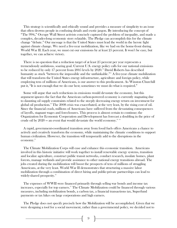This strategy is scientifically and ethically sound and provides a measure of simplicity to an issue that often drowns people in confusing details and exotic jargon. By introducing the concept of "The 99%," Occupy Wall Street activists concisely captured the problem of inequality, and made a complex, decades-long economic story relatable. The Pledge can accomplish this for the climate change "debate." Our message is that the United States must lead the world in the heroic fight against climate change. We need a five-year mobilization, like we had on the home-front during World War II. Each year, we must cut our emissions by at least 25 percent. It won't be easy, but together, we can achieve victory.

 There is no question that a reduction target of at least 25 percent per year represents a tremendously ambitious, soaring goal. Current U.S. energy policy calls for our national emissions to be reduced by only 17 percent from 2005 levels by 2020.<sup>30</sup> David Roberts has described humanity as stuck "between the impossible and the unthinkable."<sup>31</sup> A five-year climate mobilization that will transform the United States energy infrastructure, agriculture and foreign policy, while employing tens of millions of Americans, is our answer to this predicament. As Winston Churchill put it, "It is not enough that we do our best; sometimes we must do what is required."

 Some will argue that such reductions in emissions would devastate the economy, but this argument ignores the fact that the American carbon-powered economy is currently stagnating due to daunting oil supply constraints related to the steeply decreasing energy return on investment for global oil production.<sup>32</sup> The 2008 crisis was exacerbated, at the very least, by the rising cost of oil. Since the financial crash, millions of Americans have suffered from the devastating consequences of layoffs, stagnant wages and foreclosures. This process is almost certain to continue; the Organization for Economic Cooperation and Development has forecast a doubling in the price of crude oil by  $2020$  — an event that would devastate the world economy.<sup>33</sup> <sup>34</sup>

 A rapid, government-coordinated transition away from fossil fuels offers Americans a chance to actively and creatively transform the economy, while maintaining the climatic conditions to support human civilization. However, the transition will temporarily add to the disruptions in the economy. 35

 The Climate Mobilization Corps will ease and enhance this economic transition. Americans involved in this historic initiative will work together to install renewable energy systems, transition and localize agriculture, construct public transit networks, conduct research, insulate homes, plant forests, manage wetlands and provide assistance to other national energy transitions abroad. The jobs created during the mobilization will boost the prospects of tens of millions of struggling Americans, at the very least. World War II demonstrates that structuring a massive labor mobilization through a combination of direct hiring and public-private partnerships can lead to widely-shared prosperity. 36

 The expenses of WWII were financed primarily through selling war bonds and income tax increases, especially for top earners.<sup>37</sup> The Climate Mobilization could be financed through various measures, including mobilization bonds, a carbon tax, a financial transactions tax, Superfund payments or tax hikes on large corporations and high earners.

 The Pledge does not specify precisely how the Mobilization will be accomplished. Given that we were designing a tool for a social movement, rather than a governmental policy, we decided not to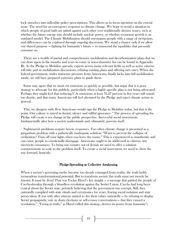lock ourselves into inflexible policy prescriptions. This allows us to focus attention on the crucial issue: The need for an emergency response to climate change. We hope to avoid a situation in which people of good faith are pitted against each other over traditionally divisive issues, such as whether the future energy mix should include nuclear power, or whether economic growth is an outdated model. The Climate Mobilization should encompass people with a range of viewpoints, and differences can be explored through ongoing discussion. We stand a chance only if we allow our shared purpose — fighting for humanity's future — to transcend the squabbles that presently consume us.

 There are a wealth of partial and comprehensive mobilization and decarbonization plans that we can draw upon in the months and years to come (a non-exhaustive list can be found in Appendix B). As the Pledge to Mobilize spreads, experts across many relevant fields as well as active citizens will take part in mobilization discussions, refining existing plans and offering new ones. When the federal government, under immense pressure from Americans, finally kicks into full mobilization mode, we will have prepared extensive plans to guide them.

 Some may agree that we must cut emissions as quickly as possible, but argue that it is poor strategy to advocate for this publicly, particularly when a highly specific plan is not being advocated. Perhaps they might feel that reducing U.S. emissions at least 76.27 percent in five years will sound too drastic, and that many Americans will feel alienated by the Pledge and reject climate action in general.

 This, we disagree with. Few Americans would sign the Pledge to Mobilize today, but that is the point. Our culture is mired in denial, silence and willful ignorance.<sup>38</sup> The process of spreading the Pledge will create a sea change in the public perspective. Successful social movements fundamentally alter how a society understands and, ultimately, governs itself.

 Nightmarish problems require heroic responses. Too often climate change is presented as a gargantuan problem with a pathetically inadequate solution: "Want to prevent the collapse of civilization? Turn off your lights when you leave the room." This is experienced as inauthentic and can cause people to emotionally disengage. Americans ought to be addressed as citizens, not electricity consumers. To bring our country out of denial, we need to offer a solution commensurate in scale to the problem itself. To create a social movement, we need to show the way forward, honestly.

#### Pledge-Spreading as Collective Awakening

When a society's governing myths become too deeply estranged from reality, the truth holds tremendous transformational potential. But to transform society this truth must not merely be known. It must be lived. That was Vaclav Havel's key insight — a message that guided the people of Czechoslovakia through a bloodless revolution against the Soviet Union. Czechs had long been cynical about the Soviet state, privately believing that the government was corrupt. Still, they outwardly complied with state rituals and ceremonies for years, fearing social isolation and state persecution. It was only after citizens started to *live* their values outwardly  $-$  by refusing to display Soviet propaganda, vote in sham elections or self-censor conversations — that they caused a revolution.<sup>39</sup> "Living in truth," as Havel called this strategy, derives its power from humanity's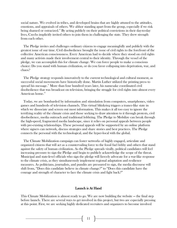social nature. We evolved in tribes, and developed brains that are highly attuned to the attitudes, emotions, and appraisals of others. We abhor standing apart from the group, especially if we risk being shamed or ostracized.<sup>40</sup> By acting publicly on their political convictions in their day-to-day lives, Czechs implicitly invited others to join them in challenging the state. They drew strength from each other.

 The Pledge invites and challenges ordinary citizens to engage meaningfully and publicly with the greatest issue of our time. Civil disobedience brought the issue of civil rights to the forefront of the collective American consciousness. Every American had to decide where they stood on civil rights and many activists made their involvement central to their identity. Through the vessel of the pledge, we can accomplish this for climate change. We can force people to make a conscious choice: Do you stand with human civilization, or do you favor collapsing into deprivation, war, and chaos?

 The Pledge strategy responds innovatively to the current technological and cultural moment, as successful social movements have historically done. Martin Luther utilized the printing press to spread his message.<sup>41</sup> More than four hundred years later, his namesake coordinated civil disobedience that was broadcast on television, bringing the struggle for civil rights into almost every American home.<sup>42</sup>

 Today, we are bombarded by information and stimulation from computers, smartphones, video games and hundreds of television channels. This virtual blitzkrieg triggers a trance-like state in which we dissociate and screen out most information. This makes it all too easy to ignore the terrifying reality of the climate crisis and those seeking to draw attention to it through protests, civil disobedience, media outreach and traditional lobbying. The Pledge to Mobilize can break through the high-speed, fragmented media landscape, since it relies on personal appeals between people with pre-existing relationships. These personal appeals will be supported by an online platform where signers can network, discuss strategies and share stories and best practices. The Pledge connects the personal with the technological, and the hyper-local with the global.

 The Climate Mobilization campaign can foster networks of highly engaged, articulate and organized citizens that will act as a countervailing force to the fossil fuel lobby and others that stand against the safety of human civilization. As the Pledge spreads virally, political candidates will feel increasing pressure to sign the Pledge and begin to publicly acknowledge the scope of the threat. Municipal and state-level officials who sign the pledge will fiercely advocate for a war-like response to the climate crisis, as they simultaneously implement regional adaptation and resilience measures. As politicians, journalists, and pundits are pressured to sign, the media discourse will shift from, "Does this candidate believe in climate change?" to "Does this candidate have the courage and strength of character to face the climate crisis and fight back?"

#### Launch is At Hand

This Climate Mobilization is almost ready to go. We are now building the website — the final step before launch. There are several ways to get involved in this project, but two are especially pressing at this point. First, we are seeking highly dedicated recruiters and organizers to become involved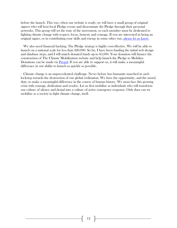before the launch. This way, when our website is ready, we will have a small group of original signers who will host local Pledge events and disseminate the Pledge through their personal networks. This group will set the tone of the movement, so each member must be dedicated to fighting climate change with respect, focus, honesty and courage. If you are interested in being an original signer, or in contributing your skills and energy in some other way, [please let](http://www.theclimatemobilization.org/join-us/?preview=true&preview_id=19&preview_nonce=4647089dc1) us know.

 We also need financial backing. The Pledge strategy is highly cost-effective. We will be able to launch on a national scale for less than \$20,000. So far, I have been funding the initial web design and database steps, and I will match donated funds up to \$5,000. Your donation will finance the construction of The Climate Mobilization website and help launch the Pledge to Mobilize. Donations can be made via [Paypal.](http://www.theclimatemobilization.org/fund-us/) If you are able to support us, it will make a meaningful difference in our ability to launch as quickly as possible.

 Climate change is an unprecedented challenge. Never before has humanity marched in such lockstep towards the destruction of our global civilization. We have the opportunity, and the moral duty, to make a meaningful difference in the course of human history. We must face this growing crisis with courage, dedication and resolve. Let us first mobilize as individuals who will transform our culture of silence and denial into a culture of active emergency response. Only then can we mobilize as a society to fight climate change, itself.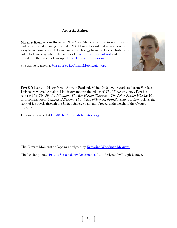# About the Authors

Margaret Klein lives in Brooklyn, New York. She is a therapist turned advocate and organizer. Margaret graduated in 2008 from Harvard and is two months away from earning her Ph.D. in clinical psychology from the Derner Institute of Adelphi University. She is the author of [The Climate Psychologist](http://theclimatepsychologist.com/) and the founder of the Facebook group [Climate Change: It's Personal](https://www.facebook.com/groups/Climatechangeitspersonal/).

She can be reached at [Margaret@TheClimateMobilization.org.](mailto:Margaret@TheClimateMobilization.org)



Ezra Silk lives with his girlfriend, Amy, in Portland, Maine. In 2010, he graduated from Wesleyan University, where he majored in history and was the editor of *The Wesleyan Argus*. Ezra has reported for The Hartford Courant, The Bar Harbor Times and The Lakes Region Weekly. His forthcoming book, Carnival of Dissent: The Voices of Protest, from Zuccotti to Athens, relates the story of his travels through the United States, Spain and Greece, at the height of the Occupy movement.

He can be reached at **Ezra@TheClimateMobilization.org**.

The Climate Mobilization logo was designed by [Katharine Woodman-Maynard.](https://www.facebook.com/pages/MAYWOOD-ART-by-Katharine-Woodman-Maynard/175713685780716)

The header photo, "[Raising Sustainability On America](http://www.zazzle.ca/jdurago)," was designed by Joseph Durago.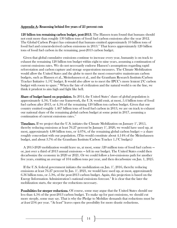## Appendix A: Reasoning behind five years of 25 percent cuts

120 billion ton remaining carbon budget, post-2013. The Hansen team found that humans should not emit more than roughly 130 billion tons of fossil fuel carbon emissions after the year 2012. The Global Carbon Project has estimated that humans emitted approximately 10 billion tons of fossil fuel and cement-derived carbon emissions in 2013.<sup>48</sup> That leaves approximately 120 billion tons of fossil fuel carbon in the remaining, post-2013 carbon budget.

 Given that global cumulative emissions continue to increase every year, humanity is on track to exhaust the remaining 120 billion ton budget within eight to nine years, assuming a continuation of current emissions rates. We do not necessarily endorse Hansen's assumptions regarding rapid reforestation and carbon capture and storage sequestration measures. The Climate Mobilization would allow the United States and the globe to meet the most conservative mainstream carbon budgets, such as Hansen et al., Meinshausen et al., and the Grantham Research Institute/Carbon Tracker Initiative 1.5°C budget. It would also allow us to meet the IPCC's more lenient 2°C carbon budget with room to spare.<sup>44</sup> When the fate of civilization and the natural world is on the line, we think it prudent to aim high and fight like hell.

Share of budget based on population. In 2014, the United States' share of global population is approximately 4.5%. Under our framework, the U.S. would emit, at most, 5.4 billion tons of fossil fuel carbon after 2013, or 4.5% of the remaining 120 billion ton carbon budget. Given that our country emitted roughly 1.467 billion tons of fossil fuel carbon in 2013, we are on track to exhaust our national share of the remaining global carbon budget at some point in 2017, assuming a continuation of current emissions rates.<sup>45</sup>

**Timelines.** If we project that the U.S. initiates the Climate Mobilization on January  $1^{\ast}$ , 2015, thereby reducing emissions at least  $76.27$  percent by January 1<sup>s</sup>, 2020, we would have used up, at most, approximately 4.88 billion tons, or 4.07%, of the remaining global carbon budget — a share roughly concordant with our population. (This would constitute about 4.14% of the Meinshausen budget, and about 3.7% of the Grantham Institute/Carbon Tracker 1.5°C budget.)

 A 2015-2020 mobilization would leave us, at most, some 520 million tons of fossil fuel carbon or, just over a third of 2013 annual emissions — left in our budget. The United States could then decarbonize the economy in 2020 or 2021. Or we could follow a low-emissions path for another five years, emitting an average of 104 million tons per year, and then decarbonize on Jan. 1, 2025.

If the U.S. federal government initiates the mobilization on Jan.  $1^*$ , 2016, thereby reducing emissions at least 76.27 percent by Jan.  $1^{\circ}$ , 2021, we would have used up, at most, approximately 6.36 billion tons, or 5.3%, of the post-2013 carbon budget. Again, this projection is based on the Energy Information Administration's national emissions forecast.<sup>46</sup> It is clear that the later the mobilization starts, the steeper the reductions necessary.

Possibilities for steeper reductions. Of course, some may argue that the United States should use less than 4.5% of the post-2013 carbon budget. To make up for past emissions, we should cut more steeply, some may say. That is why the Pledge to Mobilize demands that reductions must be at least 25% per year. "At least" leaves open the possibility for more drastic reductions.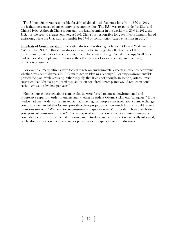The United States was responsible for 26% of global fossil fuel emissions from 1870 to 2012 the highest percentage of any country or economic bloc (The E.U. was responsible for 23%, and China 11%).<sup>47</sup> Although China is currently the leading emitter in the world with  $26\%$  in 2012, the U.S. was the second greatest emitter, at 14%. China was responsible for 23% of consumption-based emissions, while the U.S. was responsible for  $17\%$  of consumption-based emissions in  $2012$ .<sup>88</sup>

Simplicity of Communication. The 25% reduction threshold goes beyond Occupy Wall Street's "We are the 99%," in that it introduces an easy metric to gauge the effectiveness of the extraordinarily complex efforts necessary to combat climate change. What if Occupy Wall Street had generated a simple metric to assess the effectiveness of various poverty and inequality reduction programs?

 For example, many citizens were forced to rely on environmental experts in order to determine whether President Obama's 2013 Climate Action Plan was "enough." Leading environmentalists praised the plan, while stressing, rather vaguely, that it was not enough. In some quarters, it was suggested that Obama's proposed regulations on coal-fired power plants would reduce national carbon emissions by  $10\%$  per year.<sup>49</sup>

 Non-experts concerned about climate change were forced to consult environmental and progressive experts in order to understand whether President Obama's plan was "adequate." If the pledge had been widely disseminated at that time, regular people concerned about climate change could have demanded that Obama provide a clear projection of how much his plan would reduce emissions this year. "We need to cut emissions by a quarter now. Mr. President, how quickly does your plan cut emissions this year?" The widespread introduction of the per annum framework could democratize environmental expertise, and introduce an inclusive, yet scientifically informed, public discussion about the necessary scope and scale of rapid emissions reductions.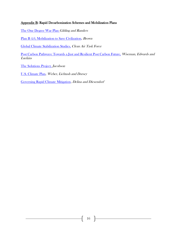# Appendix B: Rapid Decarbonization Schemes and Mobilization Plans

[The One Degree War Plan](http://paulgilding.com/fileshare/One-Degree-War-Plan-Emerald-version.pdf) Gilding and Randers

[Plan B 4.0, Mobilization to Save Civilization,](http://www.earth-policy.org/index.php?/books/pb4) Brown

[Global Climate Stabilization Studies,](http://www.catf.us/resources/whitepapers/files/20110324-Decarbonization.pdf) Clean Air Task Force

[Post Carbon Pathways: Towards a Just and Resilient Post Carbon Future,](http://www.postcarbonpathways.net.au/wp-content/uploads/2013/05/Post-Carbon-Pathways-Report-2013_Final-V.pdf) Wiseman, Edwards and Luckins

[The Solutions Project,](http://thesolutionsproject.org/) Jacobson

[U.S. Climate Plan,](http://www.usclimateplan.org/#!theplan/c21kz) Weber, Lichtash and Dorsey

[Governing Rapid Climate Mitigation,](http://tokyo2013.earthsystemgovernance.org/wp-content/uploads/2013/01/0134-DELINA_DIESENDORF.pdf) Delina and Diesendorf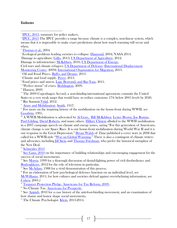## Endnotes

 $\overline{a}$ 

 $\frac{1}{1}$  **IPCC**, 2013, summary for policy makers.

 $2^{9}$  IPCC,  $2013$  The IPCC provides a range because climate is a complex, non-linear system, which means that it is impossible to make exact predictions about how much warming will occur and when.

<sup>3</sup> [Thomas et al.,](http://www.nature.com/nature/journal/v427/n6970/full/nature02121.html) 2004

<sup>4</sup> Ecological problems leading societies to collapse: [Diamond,](http://www.amazon.com/Collapse-Societies-Succeed-Revised-Edition/dp/0143117009) 2004; NASA 2014.

<sup>5</sup>Damage to agriculture: [Gillis,](http://www.nytimes.com/2013/11/02/science/earth/science-panel-warns-of-risks-to-food-supply-from-climate-change.html?_r=1&) 2013; [US Department of Agriculture,](http://www.usda.gov/oce/climate_change/effects_2012/CC%20and%20Agriculture%20Report%20(02-04-2013)b.pdf) 2012.

Damage to infrastructure: [McKibben,](http://www.billmckibben.com/eaarth/eaarthbook.html) 2010; US Department of Energy:

Civil wars and climate refugees: [US Department of Defense;](http://www.defense.gov/qdr/qdr%20as%20of%2026jan10%200700.pdf) [\(International Displacement](http://www.internal-displacement.org/)  [Monitoring Center,](http://www.internal-displacement.org/) 2009); [International Organization for Migration,](http://www.iom.int/cms/climateandmigration) 2013.

<sup>6</sup> Oil and Food Prices. [Baffes and Dennis,](http://inec.usip.org/resource/long-term-drivers-food-prices) 2013.

<sup>7</sup> Climate and food supply. [Perez,](http://www.scientificamerican.com/article/climate-change-and-rising-food-prices-heightened-arab-spring/) 2013.

<sup>8</sup> Food prices and unrest. [Lagi, Bertrand, and Bar-Yam,](http://necsi.edu/research/social/foodcrises.html) 2011.

<sup>9</sup> "Perfect storm" of crises. **Beddington**, 2009.

<sup>10</sup> Hansen, 2009.

<sup>11</sup> The 2009 Copenhagen Accord, a *non-binding* international agreement, commits the United States to a very weak target that would have us reduce emissions 17% below 2005 levels by 2020.

<sup>12</sup> Rio Summit. Vidal, 2012.

<sup>13</sup> [Army and Mobilization.](http://www.history.army.mil/html/books/001/1-7/index.html) [Smith,](file:///C:/Users/Ezra/Desktop/history.army.mil/html/books/001/1-7/index.html) 1957.

 $14$  For more on the inspiring history of the mobilization on the home-front during WWII, see [Goodwin,](http://www.amazon.com/No-Ordinary-Time-Franklin-Roosevelt/dp/0684804484) 1995.

<sup>15</sup> A WWII Mobilization is advocated by <u>Al Gore, [Bill McKibben,](http://www.huffingtonpost.com/bill-mckibben/obama-climate-change_b_2424447.html) [Lester Brown,](https://www.earth-policy.org/images/uploads/book_files/pb4book.pdf) Joe Romm</u>, [Paul Gilding,](http://www.cnn.com/2012/04/08/opinion/gilding-earth-limits/) [David Roberts,](http://grist.org/climate-energy/what-would-wartime-mobilization-to-fight-climate-change-look-like/) and many others. [Hillary Clinton](http://www.cfr.org/climate-change/hillary-clintons-speech-energy-climate-change/p14715) alluded to the WWII mobilization in a 2007 campaign speech on climate and energy issues, saying "For this generation of Americans, climate change is our Space Race. It is our home-front mobilization during World War II and it is our response to the Great Depression." [Bryan Walsh](http://content.time.com/time/specials/2007/article/0,28804,1730759_1731383_1731363,00.html) of *Time* published a cover story in 2008 that called for a WWII-style "[War on Global Warming](file:///C:/Users/Ezra/Desktop/How%20to%20win%20the%20war%20on%20global%20warming)." There is also a contingent of climate writers and advocates, including *Jill Stein* and *Thomas Friedman*, who prefer the historical metaphor of the New Deal.

<sup>16</sup> [Schneider 2013](https://www.youtube.com/watch?v=hv6m409FauU)

 $17$  [See Ganz, 2010](http://leadingchangenetwork.com/files/2012/05/Chapter-19-Leading-Change-Leadership-Organization-and-Social-Movements.pdf) on the importance of building relationships and encouraging engagement for the success of social movements.

<sup>18</sup> See [Morris,](http://www.jstor.org/discover/10.2307/223515?uid=3739832&uid=2&uid=4&uid=3739256&sid=21103389644831) 1999 for a thorough discussion of denial-fighting power of civil disobedience and [Bodroghkozy,](http://www.amazon.com/Equal-Time-Television-Movement-Communication/dp/0252036689) 2012 for the role of television in particular.

<sup>19</sup> See [McAdam,](http://www.amazon.com/Freedom-Summer-Doug-McAdam/dp/0195064720) 1988 for a vivid demonstration of this process.

<sup>20</sup> For an elaboration of how psychological defenses function on an individual level, see

[McWilliams,](http://nancymcwilliams.com/books-authored/) 2011; for how cultures and societies defend against overwhelming information, see [Cohen,](http://www.amazon.com/States-Denial-Knowing-Atrocities-Suffering/dp/0745623921) 2001.)

<sup>21</sup> [Taxpayer Protection Pledge. Americans for Tax Reform, 2009.](http://www.atr.org/taxpayer-protection-pledge-a2882)

<sup>22</sup> No Climate Tax. [Americans for Prosperity.](http://www.noclimatetax.com/the-pledge/)

 $2^3$  See [Appiah,](http://appiah.net/books/the-honor-code/) 2010 for a case history of the anti-foot-binding movement, and an examination of how shame and honor shape social movements.

<sup>24</sup> The Climate Psychologist. [Klein,](http://theclimatepsychologist.com/) 2013-2014.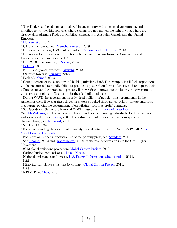$25$  The Pledge can be adapted and utilized in any country with an elected government, and modified to work within countries where citizens are not granted the right to vote. There are already allies planning Pledge to Mobilize campaigns in Australia, Canada and the United Kingdom.

 $26$  [Hansen, et al,](http://www.plosone.org/article/info%3Adoi%2F10.1371%2Fjournal.pone.0081648) 2013.

 $\overline{a}$ 

 $\overline{C}$ <sup>27</sup> GHG emissions targets. [Meinshausen et al,](http://www.ncbi.nlm.nih.gov/pubmed/19407799) 2009.

<sup>28</sup> Unburnable Carbon;  $1.5\degree$ C carbon budget. [Carbon Tracker Initiative,](http://www.carbontracker.org/wastedcapital) 2013.

<sup>29</sup> Inspiration for this carbon distribution scheme comes in part from the Contraction and Convergence movement in the UK.

 $30^{\circ}$  U.S. 2020 emissions target. [Spross,](http://thinkprogress.org/climate/2014/02/12/3285691/white-house-carbon-targets-2020/) 2014.

 $31$  [Roberts,](http://grist.org/climate-energy/hope-and-fellowship/) 2013.

<sup>32</sup> EROI and growth prospects.  $\underline{\text{Murphy}}$ , 2013.

<sup>33</sup> Oil price forecast. [Fournier,](http://www.oecd-ilibrary.org/economics/the-price-of-oil-will-it-start-rising-again_5k49q186vxnp-en) 2013.

<sup>34</sup> Peak oil. [Ahmed,](http://www.theguardian.com/environment/earth-insight/2013/dec/23/british-petroleum-geologist-peak-oil-break-economy-recession) 2013.

<sup>35</sup> Certain sectors of the economy will be hit particularly hard. For example, fossil fuel corporations will be encouraged to rapidly shift into producing post-carbon forms of energy and relinquish their efforts to subvert the democratic process. If they refuse to move into the future, the government will serve as employer of last resort for their laid-off employees.

<sup>36</sup> During WWII the government directly hired millions of people—most prominently in the Armed services. However these direct hires were supplied through networks of private enterprise that partnered with the government, often utilizing "cost plus profit" contracts.

<sup>37</sup> See Goodwin, 1995 or the National WWII museum's *[America Goes to War](http://www.nationalww2museum.org/learn/education/for-students/ww2-history/america-goes-to-war.html)*.

<sup>38</sup>See [McWilliams,](http://nancymcwilliams.com/books-authored/) 2011 to understand how denial operates among individuals, for how cultures and societies deny see [Cohen,](http://www.amazon.com/States-Denial-Knowing-Atrocities-Suffering/dp/0745623921) 2001. For a discussion of how denial functions specifically in climate change, see [Norgaard,](http://www.amazon.com/Living-Denial-Climate-Emotions-Everyday/dp/0262515857) 2011.

<sup>39</sup> See Havel (1978).

 $\degree$  For an outstanding elaboration of humanity's social nature, see E.O. Wilson's (2013), "The [Social Conquest of Earth."](http://www.amazon.com/Social-Conquest-Earth-Edward-Wilson/dp/0871403633)

 $\frac{4}{41}$  For more on Luther's innovative use of the printing press, see: [Standage,](http://www.economist.com/node/21541719) 2011.

 $42$  See [Thomas,](https://southernspaces.org/2004/television-news-and-civil-rights-struggle-views-virginia-and-mississippi) 2004 and [Bodroghkozy,](http://www.amazon.com/Equal-Time-Television-Movement-Communication/dp/0252036689) 2012 for the role of television in in the Civil Rights Movement.

<sup>43</sup> 2013 global emissions projection. [Global Carbon Project,](http://www.globalcarbonproject.org/carbonbudget/13/hl-compact.htm) 2013.

<sup>44</sup> Carbon budget comparisons. [Climate Nexus.](file:///C:/Users/Ezra/Desktop/climatenexus.org/wp-content/uploads/2013/11/CarbonBudget.pdf‎)

<sup>45</sup> National emissions data/forecast. [U.S. Energy Information Administration,](http://www.eia.gov/forecasts/steo/report/renew_co2.cfm) 2014.  $46$  Ibid.

 $47$  Historical cumulative emissions by country. [Global Carbon Project.](http://www.globalcarbonproject.org/carbonbudget/13/hl-compact.htm) 2013.

 $48$  Ibid.

<sup>49</sup> NRDC Plan. [Chait,](http://nymag.com/daily/intelligencer/2013/10/keystone-fight-a-huge-environmentalist-mistake.html) 2013.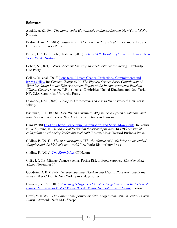## References

Appiah, A. (2010). *The honor code: How moral revolutions happen*. New York: W.W. Norton.

Bodroghkozy, A. (2012). *Equal time: Television and the civil rights movement*. Urbana: University of Illinois Press.

Brown, L. & Earth Policy Institute. (2009). [Plan B 4.0: Mobilizing to save civilization](http://www.earth-policy.org/index.php?/books/pb4). New [York: W.W. Norton.](http://www.earth-policy.org/index.php?/books/pb4)

Cohen, S. (2001). *States of denial: Knowing about atrocities and suffering*. Cambridge, UK: Polity.

Collins, M. et al, (2013) [Long-term Climate Change: Projections, Commitments and](http://www.climatechange2013.org/images/report/WG1AR5_Chapter12_FINAL.pdf)  [Irreversibility.](http://www.climatechange2013.org/images/report/WG1AR5_Chapter12_FINAL.pdf) In: Climate Change 2013: The Physical Science Basis. Contribution of Working Group I to the Fifth Assessment Report of the Intergovernmental Panel on Climate Change. Stocker, T.F et al. (eds.) Cambridge, United Kingdom and New York, NY, USA: Cambridge University Press.

Diamond, J. M. (2005). Collapse: How societies choose to fail or succeed. New York: Viking.

Friedman, T. L. (2008). Hot, flat, and crowded: Why we need a green revolution-- and how it can renew America. New York: Farrar, Straus and Giroux.

Ganz (2010) [Leading Chang: Leadership, Organization, and Social Movements.](http://leadingchangenetwork.com/files/2012/05/Chapter-19-Leading-Change-Leadership-Organization-and-Social-Movements.pdf) In Nohria, N., & Khurana, R. Handbook of leadership theory and practice: An HBS centennial colloquium on advancing leadership (509-550). Boston, Mass: Harvard Business Press.

Gilding, P. (2011). The great disruption: Why the climate crisis will bring on the end of shopping and the birth of a new world. New York: Bloomsbury Press

Gilding, P. (2012) *[The Earth is full.](http://www.cnn.com/2012/04/08/opinion/gilding-earth-limits/)* CNN.com

Gillis, J. (2013) Climate Change Seen as Posing Risk to Food Supplies. The New York Times. November  $1<sup>st</sup>$ .

Goodwin, D. K. (1994). No ordinary time: Franklin and Eleanor Roosevelt : the home front in World War II. New York: Simon & Schuster.

Hansen, J, et. Al. (2013). Assessing "Dangerous Climate Change": Required Reduction of [Carbon Emissions to Protect Young People, Future Generations and Nature](http://www.plosone.org/article/info:doi/10.1371/journal.pone.0081648). Plosone.

Havel, V. (1985). The Power of the powerless: Citizens against the state in central-eastern Europe. Armonk, N.Y: M.E. Sharpe.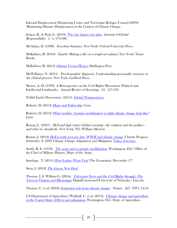Internal Displacement Monitoring Centre and Norweigan Refugee Council (2009). Monitoring Disaster Displacement in the Context of Climate Change.

Jorgen, R., & Paul, G. (2010). [The one degree war plan.](http://paulgilding.com/fileshare/p091101-The-one-degree-war-plan.pdf) Journal of Global Responsibility, 1, 1, 170-188.

McAdam, D. (1988). *Freedom Summer*. New York: Oxford University Press.

McKibben, B. (2010). *Eaarth: Making a life on a tough new planet*. New York: Times Books.

McKibben, B. (2013) *Obama Versus Physics*. Huffington Post.

McWilliams, N. (2011). Psychoanalytic diagnosis: Understanding personality structure in the clinical process. New York: Guilford Press.

Morris, A. D. (1999). A Retrospective on the Civil Rights Movement: Political and Intellectual Landmarks. Annual Review of Sociology, 25, 517-539.

NASA Earth Observatory, (2011). *[Global Temperatures.](http://earthobservatory.nasa.gov/Features/WorldOfChange/decadaltemp.php)* 

Roberts, D. (2013) [Hope and Fellowship.](http://grist.org/climate-energy/hope-and-fellowship/) Grist.

Roberts, D. (2013) What [would a 'wartime mobilization' to fight climate change look like?](http://grist.org/climate-energy/what-would-wartime-mobilization-to-fight-climate-change-look-like/) Grist.

Romm, J. (2007). Hell and high water: Global warming - the solution and the politics and what we should do. New York, NY: William Morrow.

Romm, J. (2012) [Hell is truth seen too late: WWII and climate change.](http://thinkprogress.org/climate/2012/05/23/489398/hell-is-truth-seen-too-late-wwii-climate-change/) Climate Progress. Schneider, S. 2009 Climate Change Adaptation and Mitigation. [Video of lecture.](https://www.youtube.com/watch?v=hv6m409FauU)

Smith, R. E. (1958). *[The army and economic mobilization](http://www.history.army.mil/html/books/001/1-7/CMH_Pub_1-7.pdf)*. Washington, D.C: Office of the Chief of Military History, Dept. of the Army.

Standage, T. (2011) *How Luther Went Viral*. The Economist. December 17<sup>th</sup>.

Stein, J. (2012) [The Green New Deal.](http://www.jillstein.org/green_new_deal)

Thomas, I. & William G. (2004). *Television News and the Civil Rights Struggle: The* [Views in Virginia and Mississippi](https://southernspaces.org/2004/television-news-and-civil-rights-struggle-views-virginia-and-mississippi). DigitalCommons@University of Nebraska - Lincoln.

Thomas, C. et al. (2004). [Extinction risk from climate change.](http://www.nature.com/nature/journal/v427/n6970/full/nature02121.html) Nature, 427, 6970, 145-8.

US Department of Agriculture: Walthall, C. et al. (2013). *Climate change and agriculture* [in the United States: Effects and adaptation](http://www.usda.gov/oce/climate_change/effects_2012/CC%20and%20Agriculture%20Report%20(02-04-2013)b.pdf). Washington, D.C: Dept. of Agriculture.